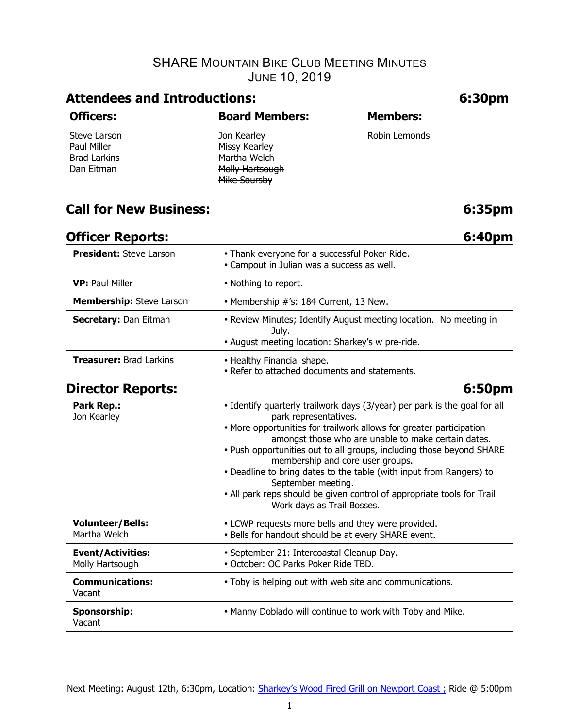# SHARE MOUNTAIN BIKE CLUB MEETING MINUTES JUNE 10, 2019

| <b>Attendees and Introductions:</b>                              |                                                                                 |                 |  |  |  |  |
|------------------------------------------------------------------|---------------------------------------------------------------------------------|-----------------|--|--|--|--|
| <b>Officers:</b>                                                 | <b>Board Members:</b>                                                           | <b>Members:</b> |  |  |  |  |
| Steve Larson<br>Paul Miller<br><b>Brad Larkins</b><br>Dan Eitman | Jon Kearley<br>Missy Kearley<br>Martha Welch<br>Molly Hartsough<br>Mike Soursby | Robin Lemonds   |  |  |  |  |

# **Call for New Business: 6:35pm**

# **Officer Reports:** 6:40pm

| <b>President: Steve Larson</b>              | • Thank everyone for a successful Poker Ride.<br>• Campout in Julian was a success as well.                                                                                                                                                                                                                                                                                                                                                                                                                                                       |  |  |  |  |  |
|---------------------------------------------|---------------------------------------------------------------------------------------------------------------------------------------------------------------------------------------------------------------------------------------------------------------------------------------------------------------------------------------------------------------------------------------------------------------------------------------------------------------------------------------------------------------------------------------------------|--|--|--|--|--|
| <b>VP: Paul Miller</b>                      | • Nothing to report.                                                                                                                                                                                                                                                                                                                                                                                                                                                                                                                              |  |  |  |  |  |
| Membership: Steve Larson                    | • Membership #'s: 184 Current, 13 New.                                                                                                                                                                                                                                                                                                                                                                                                                                                                                                            |  |  |  |  |  |
| <b>Secretary: Dan Eitman</b>                | • Review Minutes; Identify August meeting location. No meeting in<br>July.<br>• August meeting location: Sharkey's w pre-ride.                                                                                                                                                                                                                                                                                                                                                                                                                    |  |  |  |  |  |
| <b>Treasurer: Brad Larkins</b>              | • Healthy Financial shape.<br>• Refer to attached documents and statements.                                                                                                                                                                                                                                                                                                                                                                                                                                                                       |  |  |  |  |  |
| <b>Director Reports:</b>                    | 6:50pm                                                                                                                                                                                                                                                                                                                                                                                                                                                                                                                                            |  |  |  |  |  |
| Park Rep.:<br>Jon Kearley                   | • Identify quarterly trailwork days (3/year) per park is the goal for all<br>park representatives.<br>• More opportunities for trailwork allows for greater participation<br>amongst those who are unable to make certain dates.<br>. Push opportunities out to all groups, including those beyond SHARE<br>membership and core user groups.<br>• Deadline to bring dates to the table (with input from Rangers) to<br>September meeting.<br>• All park reps should be given control of appropriate tools for Trail<br>Work days as Trail Bosses. |  |  |  |  |  |
| <b>Volunteer/Bells:</b><br>Martha Welch     | • LCWP requests more bells and they were provided.<br>. Bells for handout should be at every SHARE event.                                                                                                                                                                                                                                                                                                                                                                                                                                         |  |  |  |  |  |
| <b>Event/Activities:</b><br>Molly Hartsough | • September 21: Intercoastal Cleanup Day.<br>· October: OC Parks Poker Ride TBD.                                                                                                                                                                                                                                                                                                                                                                                                                                                                  |  |  |  |  |  |
| <b>Communications:</b><br>Vacant            | . Toby is helping out with web site and communications.                                                                                                                                                                                                                                                                                                                                                                                                                                                                                           |  |  |  |  |  |
| Sponsorship:<br>Vacant                      | . Manny Doblado will continue to work with Toby and Mike.                                                                                                                                                                                                                                                                                                                                                                                                                                                                                         |  |  |  |  |  |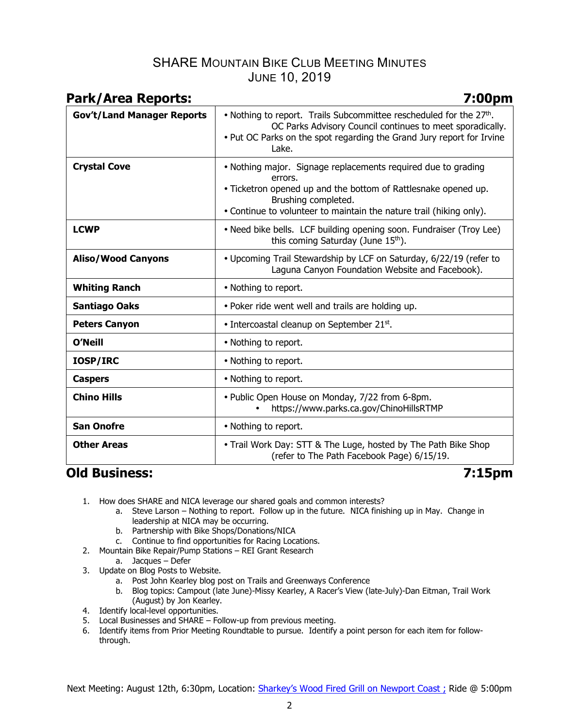## SHARE MOUNTAIN BIKE CLUB MEETING MINUTES JUNE 10, 2019

| <b>Park/Area Reports:</b>         | 7:00pm                                                                                                                                                                                                                                   |
|-----------------------------------|------------------------------------------------------------------------------------------------------------------------------------------------------------------------------------------------------------------------------------------|
| <b>Gov't/Land Manager Reports</b> | • Nothing to report. Trails Subcommittee rescheduled for the $27th$ .<br>OC Parks Advisory Council continues to meet sporadically.<br>. Put OC Parks on the spot regarding the Grand Jury report for Irvine<br>Lake.                     |
| <b>Crystal Cove</b>               | • Nothing major. Signage replacements required due to grading<br>errors.<br>. Ticketron opened up and the bottom of Rattlesnake opened up.<br>Brushing completed.<br>• Continue to volunteer to maintain the nature trail (hiking only). |
| <b>LCWP</b>                       | • Need bike bells. LCF building opening soon. Fundraiser (Troy Lee)<br>this coming Saturday (June 15th).                                                                                                                                 |
| <b>Aliso/Wood Canyons</b>         | • Upcoming Trail Stewardship by LCF on Saturday, 6/22/19 (refer to<br>Laguna Canyon Foundation Website and Facebook).                                                                                                                    |
| <b>Whiting Ranch</b>              | • Nothing to report.                                                                                                                                                                                                                     |
| <b>Santiago Oaks</b>              | . Poker ride went well and trails are holding up.                                                                                                                                                                                        |
| <b>Peters Canyon</b>              | • Intercoastal cleanup on September 21st.                                                                                                                                                                                                |
| <b>O'Neill</b>                    | • Nothing to report.                                                                                                                                                                                                                     |
| <b>IOSP/IRC</b>                   | • Nothing to report.                                                                                                                                                                                                                     |
| <b>Caspers</b>                    | • Nothing to report.                                                                                                                                                                                                                     |
| <b>Chino Hills</b>                | • Public Open House on Monday, 7/22 from 6-8pm.<br>https://www.parks.ca.gov/ChinoHillsRTMP                                                                                                                                               |
| <b>San Onofre</b>                 | • Nothing to report.                                                                                                                                                                                                                     |
| <b>Other Areas</b>                | • Trail Work Day: STT & The Luge, hosted by The Path Bike Shop<br>(refer to The Path Facebook Page) 6/15/19.                                                                                                                             |

# **Old Business: 7:15pm**

- 1. How does SHARE and NICA leverage our shared goals and common interests?
	- a. Steve Larson Nothing to report. Follow up in the future. NICA finishing up in May. Change in leadership at NICA may be occurring.
	- b. Partnership with Bike Shops/Donations/NICA
	- c. Continue to find opportunities for Racing Locations.
- 2. Mountain Bike Repair/Pump Stations REI Grant Research
	- a. Jacques Defer
- 3. Update on Blog Posts to Website.
	- a. Post John Kearley blog post on Trails and Greenways Conference
	- b. Blog topics: Campout (late June)-Missy Kearley, A Racer's View (late-July)-Dan Eitman, Trail Work (August) by Jon Kearley.
- 4. Identify local-level opportunities.
- 5. Local Businesses and SHARE Follow-up from previous meeting.
- 6. Identify items from Prior Meeting Roundtable to pursue. Identify a point person for each item for followthrough.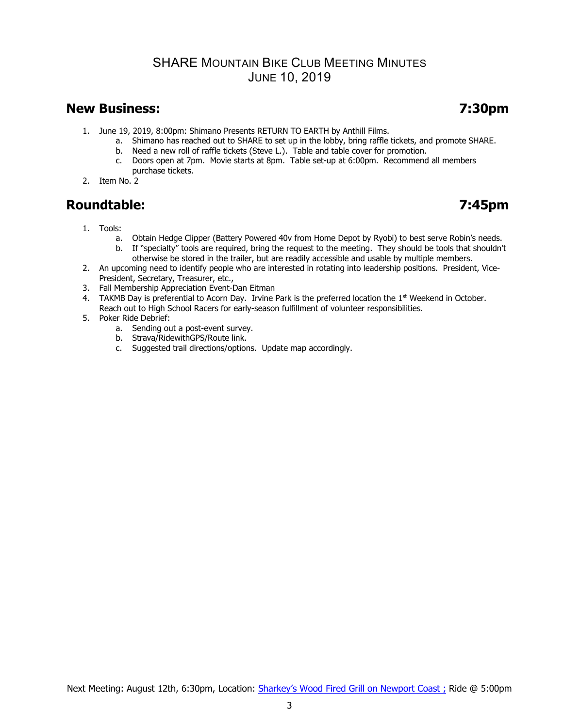## SHARE MOUNTAIN BIKE CLUB MEETING MINUTES JUNE 10, 2019

## **New Business: 7:30pm**

- 1. June 19, 2019, 8:00pm: Shimano Presents RETURN TO EARTH by Anthill Films.
	- a. Shimano has reached out to SHARE to set up in the lobby, bring raffle tickets, and promote SHARE.
		- b. Need a new roll of raffle tickets (Steve L.). Table and table cover for promotion.<br>c. Doors open at 7pm. Movie starts at 8pm. Table set-up at 6:00pm. Recommend
	- Doors open at 7pm. Movie starts at 8pm. Table set-up at 6:00pm. Recommend all members purchase tickets.
- 2. Item No. 2

# **Roundtable: 7:45pm**

- 1. Tools:
	- a. Obtain Hedge Clipper (Battery Powered 40v from Home Depot by Ryobi) to best serve Robin's needs.
	- b. If "specialty" tools are required, bring the request to the meeting. They should be tools that shouldn't otherwise be stored in the trailer, but are readily accessible and usable by multiple members.
- 2. An upcoming need to identify people who are interested in rotating into leadership positions. President, Vice-President, Secretary, Treasurer, etc.,
- 3. Fall Membership Appreciation Event-Dan Eitman
- 4. TAKMB Day is preferential to Acorn Day. Irvine Park is the preferred location the 1<sup>st</sup> Weekend in October. Reach out to High School Racers for early-season fulfillment of volunteer responsibilities.
- 5. Poker Ride Debrief:
	- a. Sending out a post-event survey.
	- b. Strava/RidewithGPS/Route link.
	- c. Suggested trail directions/options. Update map accordingly.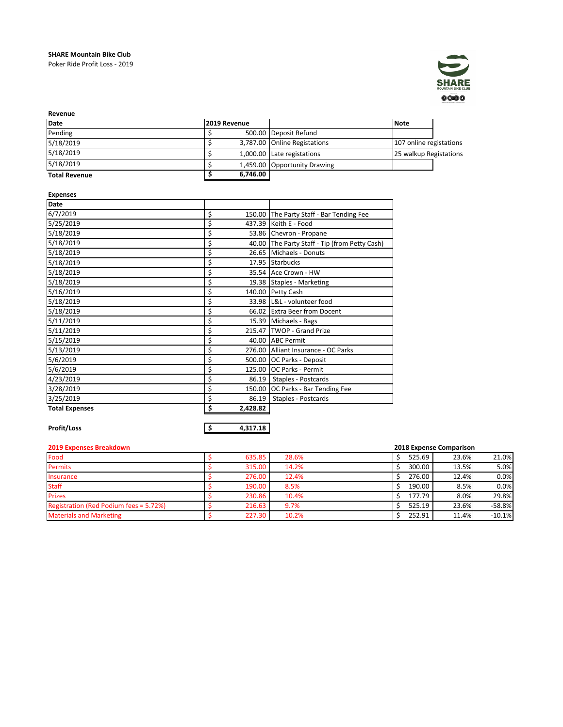## **SHARE Mountain Bike Club** Poker Ride Profit Loss - 2019



| Revenue              |              |                              |                         |  |
|----------------------|--------------|------------------------------|-------------------------|--|
| Date                 | 2019 Revenue |                              | <b>Note</b>             |  |
| Pending              |              | 500.00 Deposit Refund        |                         |  |
| 5/18/2019            |              | 3,787.00 Online Registations | 107 online registations |  |
| 5/18/2019            |              | 1,000.00 Late registations   | 25 walkup Registations  |  |
| 5/18/2019            |              | 1,459.00 Opportunity Drawing |                         |  |
| <b>Total Revenue</b> | 6.746.00     |                              |                         |  |

## **Expenses**

| <b>Date</b>           |                |                                               |
|-----------------------|----------------|-----------------------------------------------|
| 6/7/2019              | \$             | 150.00 The Party Staff - Bar Tending Fee      |
| 5/25/2019             | \$             | 437.39 Keith E - Food                         |
| 5/18/2019             | \$             | 53.86 Chevron - Propane                       |
| 5/18/2019             | \$             | 40.00 The Party Staff - Tip (from Petty Cash) |
| 5/18/2019             |                | 26.65 Michaels - Donuts                       |
| 5/18/2019             | \$             | 17.95 Starbucks                               |
| 5/18/2019             | \$             | 35.54 Ace Crown - HW                          |
| 5/18/2019             | \$             | 19.38 Staples - Marketing                     |
| 5/16/2019             | \$             | 140.00 Petty Cash                             |
| 5/18/2019             | \$             | 33.98 IL&L - volunteer food                   |
| 5/18/2019             | \$             | 66.02 Extra Beer from Docent                  |
| 5/11/2019             | \$             | 15.39 Michaels - Bags                         |
| 5/11/2019             | \$             | 215.47 TWOP - Grand Prize                     |
| 5/15/2019             | \$             | 40.00 ABC Permit                              |
| 5/13/2019             | \$             | 276.00 Alliant Insurance - OC Parks           |
| 5/6/2019              | \$             | 500.00 OC Parks - Deposit                     |
| 5/6/2019              |                | 125.00 OC Parks - Permit                      |
| 4/23/2019             |                | 86.19   Staples - Postcards                   |
| 3/28/2019             | \$             | 150.00 OC Parks - Bar Tending Fee             |
| 3/25/2019             | \$<br>86.19    | Staples - Postcards                           |
| <b>Total Expenses</b> | 2,428.82<br>\$ |                                               |

**Profit/Loss \$ 4,317.18**

| <b>2019 Expenses Breakdown</b>         |  |        |       |  |        | 2018 Expense Comparison |          |  |
|----------------------------------------|--|--------|-------|--|--------|-------------------------|----------|--|
| Food                                   |  | 635.85 | 28.6% |  | 525.69 | 23.6%                   | 21.0%    |  |
| <b>Permits</b>                         |  | 315.00 | 14.2% |  | 300.00 | 13.5%                   | 5.0%     |  |
| <b>Insurance</b>                       |  | 276.00 | 12.4% |  | 276.00 | 12.4%                   | 0.0%     |  |
| <b>Staff</b>                           |  | 190.00 | 8.5%  |  | 190.00 | 8.5%                    | 0.0%     |  |
| <b>Prizes</b>                          |  | 230.86 | 10.4% |  | 177.79 | 8.0%                    | 29.8%    |  |
| Registration (Red Podium fees = 5.72%) |  | 216.63 | 9.7%  |  | 525.19 | 23.6%                   | $-58.8%$ |  |
| <b>Materials and Marketing</b>         |  | 227.30 | 10.2% |  | 252.91 | 11.4%                   | $-10.1%$ |  |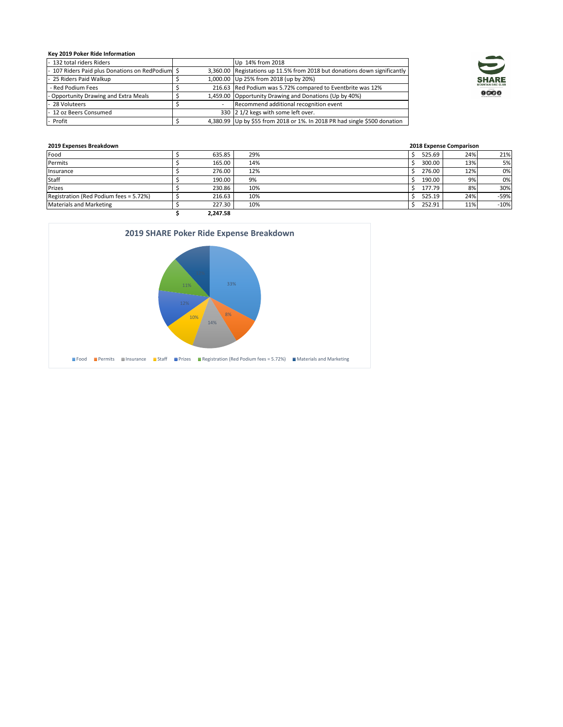## **Key 2019 Poker Ride Information**

| 132 total riders Riders                       |                          | Up 14% from 2018                                                          |
|-----------------------------------------------|--------------------------|---------------------------------------------------------------------------|
| - 107 Riders Paid plus Donations on RedPodium |                          | 3,360.00 Registations up 11.5% from 2018 but donations down significantly |
| - 25 Riders Paid Walkup                       |                          | 1,000.00 Up 25% from 2018 (up by 20%)                                     |
| - Red Podium Fees                             |                          | 216.63 Red Podium was 5.72% compared to Eventbrite was 12%                |
| - Opportunity Drawing and Extra Meals         |                          | 1,459.00 Opportunity Drawing and Donations (Up by 40%)                    |
| - 28 Voluteers                                | $\overline{\phantom{0}}$ | Recommend additional recognition event                                    |
| - 12 oz Beers Consumed                        |                          | 330 2 1/2 kegs with some left over.                                       |
| - Profit                                      |                          | 4,380.99 Up by \$55 from 2018 or 1%. In 2018 PR had single \$500 donation |



| 2019 Expenses Breakdown                |  |          |     | 2018 Expense Comparison |        |
|----------------------------------------|--|----------|-----|-------------------------|--------|
| Food                                   |  | 635.85   | 29% | 525.69<br>24%           | 21%    |
| Permits                                |  | 165.00   | 14% | 300.00<br>13%           | 5%     |
| Insurance                              |  | 276.00   | 12% | 276.00<br>12%           | 0%     |
| Staff                                  |  | 190.00   | 9%  | 190.00<br>9%            | 0%     |
| Prizes                                 |  | 230.86   | 10% | 8%<br>177.79            | 30%    |
| Registration (Red Podium fees = 5.72%) |  | 216.63   | 10% | 24%<br>525.19           | $-59%$ |
| <b>Materials and Marketing</b>         |  | 227.30   | 10% | 252.91<br>11%           | $-10%$ |
|                                        |  | 2.247.58 |     |                         |        |

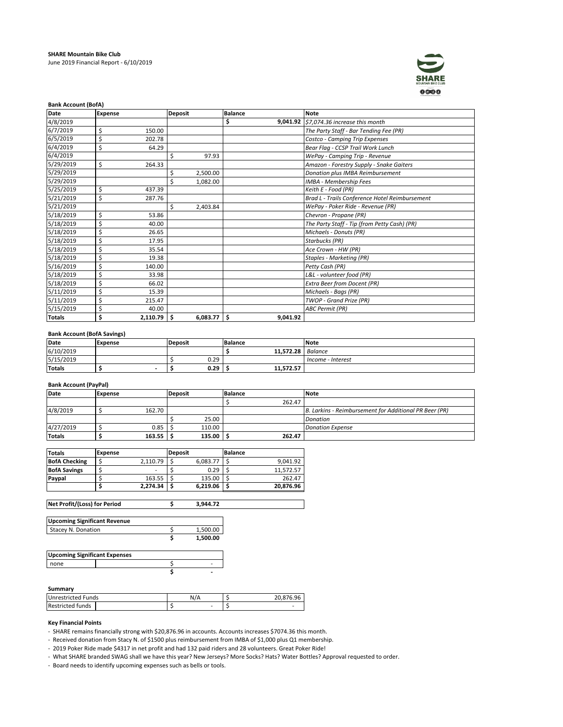

|               | <b>Bank Account (BofA)</b> |          |                |          |                |          |                                                |  |  |
|---------------|----------------------------|----------|----------------|----------|----------------|----------|------------------------------------------------|--|--|
| Date          | <b>Expense</b>             |          | <b>Deposit</b> |          | <b>Balance</b> |          | <b>Note</b>                                    |  |  |
| 4/8/2019      |                            |          |                |          | Ś              |          | 9,041.92 \$7,074.36 increase this month        |  |  |
| 6/7/2019      | \$                         | 150.00   |                |          |                |          | The Party Staff - Bar Tending Fee (PR)         |  |  |
| 6/5/2019      | \$                         | 202.78   |                |          |                |          | Costco - Camping Trip Expenses                 |  |  |
| 6/4/2019      | \$                         | 64.29    |                |          |                |          | Bear Flag - CCSP Trail Work Lunch              |  |  |
| 6/4/2019      |                            |          | Ś              | 97.93    |                |          | WePay - Camping Trip - Revenue                 |  |  |
| 5/29/2019     | \$                         | 264.33   |                |          |                |          | Amazon - Forestry Supply - Snake Gaiters       |  |  |
| 5/29/2019     |                            |          | \$             | 2,500.00 |                |          | Donation plus IMBA Reimbursement               |  |  |
| 5/29/2019     |                            |          | Ś              | 1.082.00 |                |          | IMBA - Membership Fees                         |  |  |
| 5/25/2019     | \$                         | 437.39   |                |          |                |          | Keith E - Food (PR)                            |  |  |
| 5/21/2019     | \$                         | 287.76   |                |          |                |          | Brad L - Trails Conference Hotel Reimbursement |  |  |
| 5/21/2019     |                            |          | \$.            | 2,403.84 |                |          | WePay - Poker Ride - Revenue (PR)              |  |  |
| 5/18/2019     | \$                         | 53.86    |                |          |                |          | Chevron - Propane (PR)                         |  |  |
| 5/18/2019     | \$                         | 40.00    |                |          |                |          | The Party Staff - Tip (from Petty Cash) (PR)   |  |  |
| 5/18/2019     | \$                         | 26.65    |                |          |                |          | Michaels - Donuts (PR)                         |  |  |
| 5/18/2019     | \$                         | 17.95    |                |          |                |          | Starbucks (PR)                                 |  |  |
| 5/18/2019     | \$                         | 35.54    |                |          |                |          | Ace Crown - HW (PR)                            |  |  |
| 5/18/2019     | \$                         | 19.38    |                |          |                |          | <b>Staples - Marketing (PR)</b>                |  |  |
| 5/16/2019     | \$                         | 140.00   |                |          |                |          | Petty Cash (PR)                                |  |  |
| 5/18/2019     | \$                         | 33.98    |                |          |                |          | L&L - volunteer food (PR)                      |  |  |
| 5/18/2019     | \$                         | 66.02    |                |          |                |          | <b>Extra Beer from Docent (PR)</b>             |  |  |
| 5/11/2019     | \$                         | 15.39    |                |          |                |          | Michaels - Bags (PR)                           |  |  |
| 5/11/2019     | \$                         | 215.47   |                |          |                |          | TWOP - Grand Prize (PR)                        |  |  |
| 5/15/2019     | \$                         | 40.00    |                |          |                |          | <b>ABC Permit (PR)</b>                         |  |  |
| <b>Totals</b> | \$                         | 2,110.79 | -\$            | 6,083.77 | ۱ś             | 9,041.92 |                                                |  |  |

## **Bank Account (BofA Savings)**

| Date      | <b>Expense</b> | <b>Deposit</b> | Balance             | Note              |
|-----------|----------------|----------------|---------------------|-------------------|
| 6/10/2019 |                |                | 11.572.28   Balance |                   |
| 5/15/2019 |                | 0.29           |                     | Income - Interest |
| Totals    |                | 0.29           | 11.572.57           |                   |

## **Bank Account (PayPal)**

| Date          | <b>Expense</b> | Deposit |        | <b>Balance</b> | <b>Note</b>                                            |
|---------------|----------------|---------|--------|----------------|--------------------------------------------------------|
|               |                |         |        | 262.47         |                                                        |
| 4/8/2019      | 162.70         |         |        |                | B. Larkins - Reimbursement for Additional PR Beer (PR) |
|               |                |         | 25.00  |                | Donation                                               |
| 4/27/2019     | 0.85           |         | 110.00 |                | <b>Donation Expense</b>                                |
| <b>Totals</b> | 163.55         |         | 135.00 | 262.47         |                                                        |

| <b>Totals</b>        | Expense |          | Deposit |          | <b>Balance</b> |           |
|----------------------|---------|----------|---------|----------|----------------|-----------|
| <b>BofA Checking</b> |         | 2.110.79 |         | 6.083.77 |                | 9.041.92  |
| <b>BofA Savings</b>  |         | -        |         | 0.29     |                | 11.572.57 |
| Paypal               |         | 163.55   |         | 135.00   |                | 262.47    |
|                      |         | 2.274.34 |         | 6,219.06 |                | 20.876.96 |

| Net Profit/(Loss) for Period        | 3.944.72 |
|-------------------------------------|----------|
| <b>Upcoming Significant Revenue</b> |          |
| Stacey N. Donation                  | 1,500.00 |
|                                     | 1.500.00 |

| <b>Upcoming Significant Expenses</b> |  |  |  |  |  |
|--------------------------------------|--|--|--|--|--|
| none                                 |  |  |  |  |  |
|                                      |  |  |  |  |  |

### **Summary**

| <b>Unrestricted Funds</b> | N |  |
|---------------------------|---|--|
| <b>Restricted funds</b>   | ۰ |  |

### **Key Financial Points**

- SHARE remains financially strong with \$20,876.96 in accounts. Accounts increases \$7074.36 this month.

- Received donation from Stacy N. of \$1500 plus reimbursement from IMBA of \$1,000 plus Q1 membership.

- 2019 Poker Ride made \$4317 in net profit and had 132 paid riders and 28 volunteers. Great Poker Ride!

- What SHARE branded SWAG shall we have this year? New Jerseys? More Socks? Hats? Water Bottles? Approval requested to order.

- Board needs to identify upcoming expenses such as bells or tools.